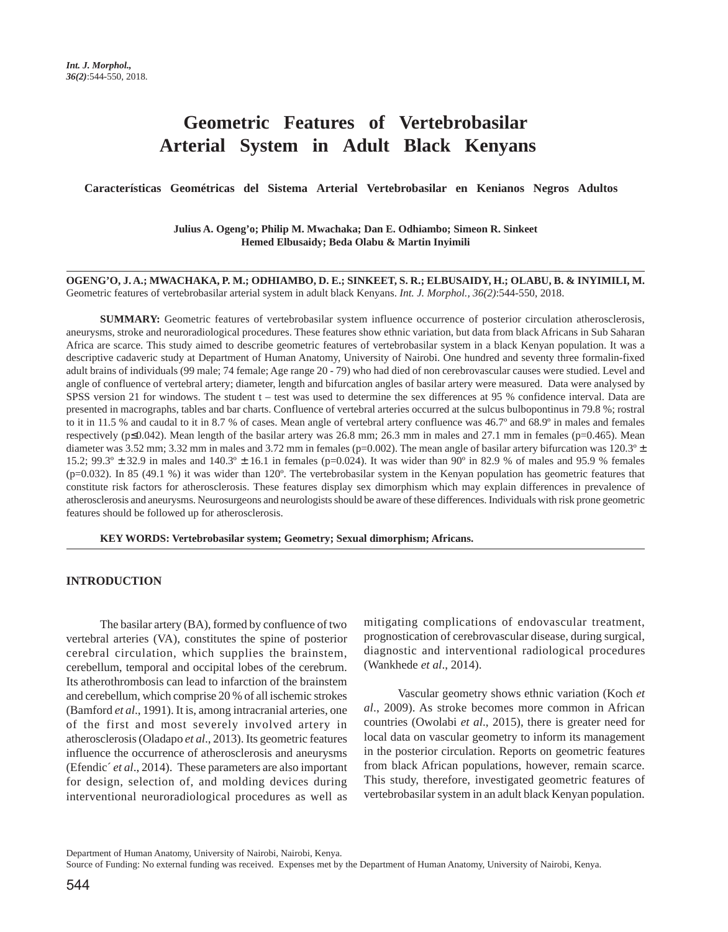# **Geometric Features of Vertebrobasilar Arterial System in Adult Black Kenyans**

 **Características Geométricas del Sistema Arterial Vertebrobasilar en Kenianos Negros Adultos** 

**Julius A. Ogeng'o; Philip M. Mwachaka; Dan E. Odhiambo; Simeon R. Sinkeet Hemed Elbusaidy; Beda Olabu & Martin Inyimili**

**OGENG'O, J. A.; MWACHAKA, P. M.; ODHIAMBO, D. E.; SINKEET, S. R.; ELBUSAIDY, H.; OLABU, B. & INYIMILI, M.** Geometric features of vertebrobasilar arterial system in adult black Kenyans. *Int. J. Morphol., 36(2)*:544-550, 2018.

**SUMMARY:** Geometric features of vertebrobasilar system influence occurrence of posterior circulation atherosclerosis, aneurysms, stroke and neuroradiological procedures. These features show ethnic variation, but data from black Africans in Sub Saharan Africa are scarce. This study aimed to describe geometric features of vertebrobasilar system in a black Kenyan population. It was a descriptive cadaveric study at Department of Human Anatomy, University of Nairobi. One hundred and seventy three formalin-fixed adult brains of individuals (99 male; 74 female; Age range 20 - 79) who had died of non cerebrovascular causes were studied. Level and angle of confluence of vertebral artery; diameter, length and bifurcation angles of basilar artery were measured. Data were analysed by SPSS version 21 for windows. The student t – test was used to determine the sex differences at 95 % confidence interval. Data are presented in macrographs, tables and bar charts. Confluence of vertebral arteries occurred at the sulcus bulbopontinus in 79.8 %; rostral to it in 11.5 % and caudal to it in 8.7 % of cases. Mean angle of vertebral artery confluence was 46.7º and 68.9º in males and females respectively (p≤0.042). Mean length of the basilar artery was 26.8 mm; 26.3 mm in males and 27.1 mm in females (p=0.465). Mean diameter was 3.52 mm; 3.32 mm in males and 3.72 mm in females (p=0.002). The mean angle of basilar artery bifurcation was 120.3°  $\pm$ 15.2; 99.3º ± 32.9 in males and 140.3º ± 16.1 in females (p=0.024). It was wider than 90º in 82.9 % of males and 95.9 % females (p=0.032). In 85 (49.1 %) it was wider than 120º. The vertebrobasilar system in the Kenyan population has geometric features that constitute risk factors for atherosclerosis. These features display sex dimorphism which may explain differences in prevalence of atherosclerosis and aneurysms. Neurosurgeons and neurologists should be aware of these differences. Individuals with risk prone geometric features should be followed up for atherosclerosis.

**KEY WORDS: Vertebrobasilar system; Geometry; Sexual dimorphism; Africans.**

### **INTRODUCTION**

The basilar artery (BA), formed by confluence of two vertebral arteries (VA), constitutes the spine of posterior cerebral circulation, which supplies the brainstem, cerebellum, temporal and occipital lobes of the cerebrum. Its atherothrombosis can lead to infarction of the brainstem and cerebellum, which comprise 20 % of all ischemic strokes (Bamford *et al*., 1991). It is, among intracranial arteries, one of the first and most severely involved artery in atherosclerosis (Oladapo *et al*., 2013). Its geometric features influence the occurrence of atherosclerosis and aneurysms (Efendic´ *et al*., 2014). These parameters are also important for design, selection of, and molding devices during interventional neuroradiological procedures as well as mitigating complications of endovascular treatment, prognostication of cerebrovascular disease, during surgical, diagnostic and interventional radiological procedures (Wankhede *et al*., 2014).

Vascular geometry shows ethnic variation (Koch *et al*., 2009). As stroke becomes more common in African countries (Owolabi *et al*., 2015), there is greater need for local data on vascular geometry to inform its management in the posterior circulation. Reports on geometric features from black African populations, however, remain scarce. This study, therefore, investigated geometric features of vertebrobasilar system in an adult black Kenyan population.

Department of Human Anatomy, University of Nairobi, Nairobi, Kenya.

Source of Funding: No external funding was received. Expenses met by the Department of Human Anatomy, University of Nairobi, Kenya.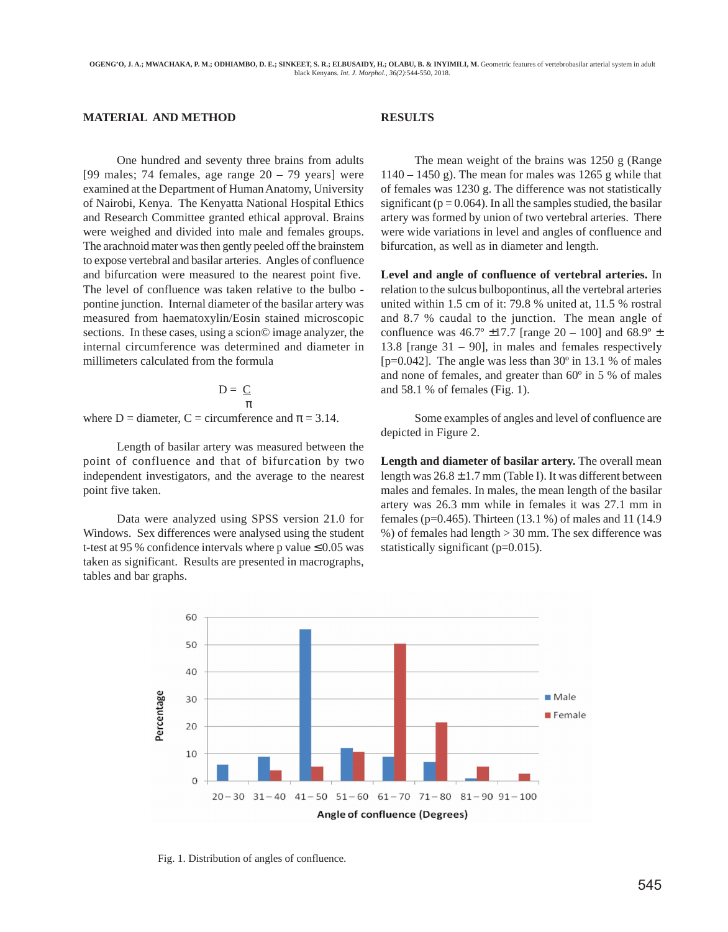# **MATERIAL AND METHOD**

One hundred and seventy three brains from adults [99 males; 74 females, age range  $20 - 79$  years] were examined at the Department of Human Anatomy, University of Nairobi, Kenya. The Kenyatta National Hospital Ethics and Research Committee granted ethical approval. Brains were weighed and divided into male and females groups. The arachnoid mater was then gently peeled off the brainstem to expose vertebral and basilar arteries. Angles of confluence and bifurcation were measured to the nearest point five. The level of confluence was taken relative to the bulbo pontine junction. Internal diameter of the basilar artery was measured from haematoxylin/Eosin stained microscopic sections. In these cases, using a scion© image analyzer, the internal circumference was determined and diameter in millimeters calculated from the formula

$$
D = \underline{C}
$$

$$
\pi
$$

where D = diameter, C = circumference and  $\pi$  = 3.14.

Length of basilar artery was measured between the point of confluence and that of bifurcation by two independent investigators, and the average to the nearest point five taken.

Data were analyzed using SPSS version 21.0 for Windows. Sex differences were analysed using the student t-test at 95 % confidence intervals where p value  $\leq 0.05$  was taken as significant. Results are presented in macrographs, tables and bar graphs.

## **RESULTS**

The mean weight of the brains was 1250 g (Range  $1140 - 1450$  g). The mean for males was 1265 g while that of females was 1230 g. The difference was not statistically significant ( $p = 0.064$ ). In all the samples studied, the basilar artery was formed by union of two vertebral arteries. There were wide variations in level and angles of confluence and bifurcation, as well as in diameter and length.

**Level and angle of confluence of vertebral arteries.** In relation to the sulcus bulbopontinus, all the vertebral arteries united within 1.5 cm of it: 79.8 % united at, 11.5 % rostral and 8.7 % caudal to the junction. The mean angle of confluence was  $46.7^{\circ}$  ±17.7 [range 20 – 100] and  $68.9^{\circ}$  ± 13.8 [range  $31 - 90$ ], in males and females respectively [ $p=0.042$ ]. The angle was less than 30 $\degree$  in 13.1 % of males and none of females, and greater than 60º in 5 % of males and 58.1 % of females (Fig. 1).

Some examples of angles and level of confluence are depicted in Figure 2.

**Length and diameter of basilar artery.** The overall mean length was  $26.8 \pm 1.7$  mm (Table I). It was different between males and females. In males, the mean length of the basilar artery was 26.3 mm while in females it was 27.1 mm in females (p=0.465). Thirteen (13.1 %) of males and 11 (14.9 %) of females had length > 30 mm. The sex difference was statistically significant (p=0.015).



Fig. 1. Distribution of angles of confluence.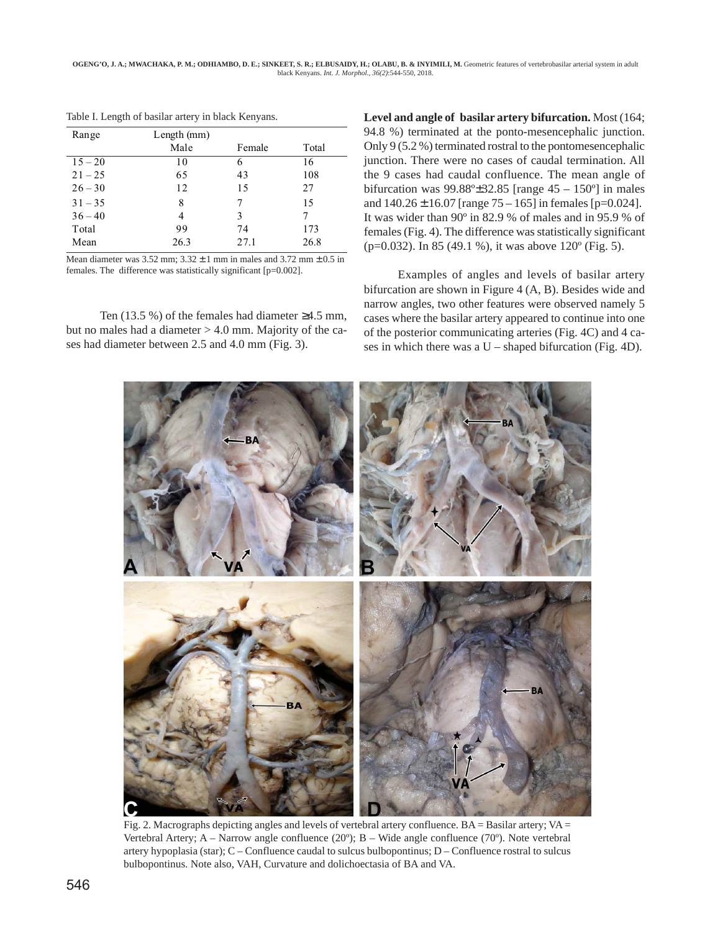| Range     | Length (mm) |        |       |
|-----------|-------------|--------|-------|
|           | Male        | Female | Total |
| $15 - 20$ | 10          | 6      | 16    |
| $21 - 25$ | 65          | 43     | 108   |
| $26 - 30$ | 12          | 15     | 27    |
| $31 - 35$ | 8           |        | 15    |
| $36 - 40$ | 4           | 3      |       |
| Total     | 99          | 74     | 173   |
| Mean      | 26.3        | 27.1   | 26.8  |

Table I. Length of basilar artery in black Kenyans.

Mean diameter was  $3.52$  mm;  $3.32 \pm 1$  mm in males and  $3.72$  mm  $\pm 0.5$  in females. The difference was statistically significant [p=0.002].

Ten (13.5 %) of the females had diameter ≥4.5 mm, but no males had a diameter > 4.0 mm. Majority of the cases had diameter between 2.5 and 4.0 mm (Fig. 3).

**Level and angle of basilar artery bifurcation.** Most (164; 94.8 %) terminated at the ponto-mesencephalic junction. Only 9 (5.2 %) terminated rostral to the pontomesencephalic junction. There were no cases of caudal termination. All the 9 cases had caudal confluence. The mean angle of bifurcation was  $99.88^{\circ}$ ±32.85 [range  $45 - 150^{\circ}$ ] in males and  $140.26 \pm 16.07$  [range  $75 - 165$ ] in females [p=0.024]. It was wider than 90º in 82.9 % of males and in 95.9 % of females (Fig. 4). The difference was statistically significant (p=0.032). In 85 (49.1 %), it was above 120º (Fig. 5).

Examples of angles and levels of basilar artery bifurcation are shown in Figure 4 (A, B). Besides wide and narrow angles, two other features were observed namely 5 cases where the basilar artery appeared to continue into one of the posterior communicating arteries (Fig. 4C) and 4 cases in which there was a  $U$  – shaped bifurcation (Fig. 4D).



Fig. 2. Macrographs depicting angles and levels of vertebral artery confluence.  $BA = Basilar$  artery;  $VA =$ Vertebral Artery; A – Narrow angle confluence  $(20^{\circ})$ ; B – Wide angle confluence  $(70^{\circ})$ . Note vertebral artery hypoplasia (star);  $C -$  Confluence caudal to sulcus bulbopontinus;  $D -$  Confluence rostral to sulcus bulbopontinus. Note also, VAH, Curvature and dolichoectasia of BA and VA.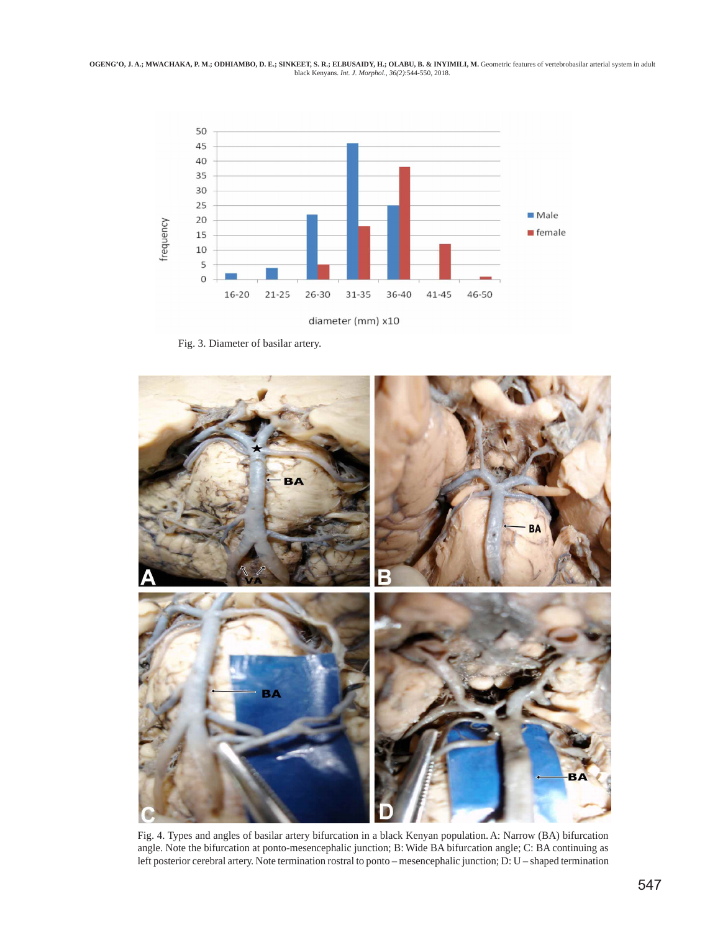OGENG'O, J. A.; MWACHAKA, P. M.; ODHIAMBO, D. E.; SINKEET, S. R.; ELBUSAIDY, H.; OLABU, B. & INYIMILI, M. Geometric features of vertebrobasilar arterial system in adult<br>black Kenyans. *Int. J. Morphol.*, 36(2):544-550, 201



Fig. 3. Diameter of basilar artery.



Fig. 4. Types and angles of basilar artery bifurcation in a black Kenyan population. A: Narrow (BA) bifurcation angle. Note the bifurcation at ponto-mesencephalic junction; B: Wide BA bifurcation angle; C: BA continuing as left posterior cerebral artery. Note termination rostral to ponto – mesencephalic junction; D: U – shaped termination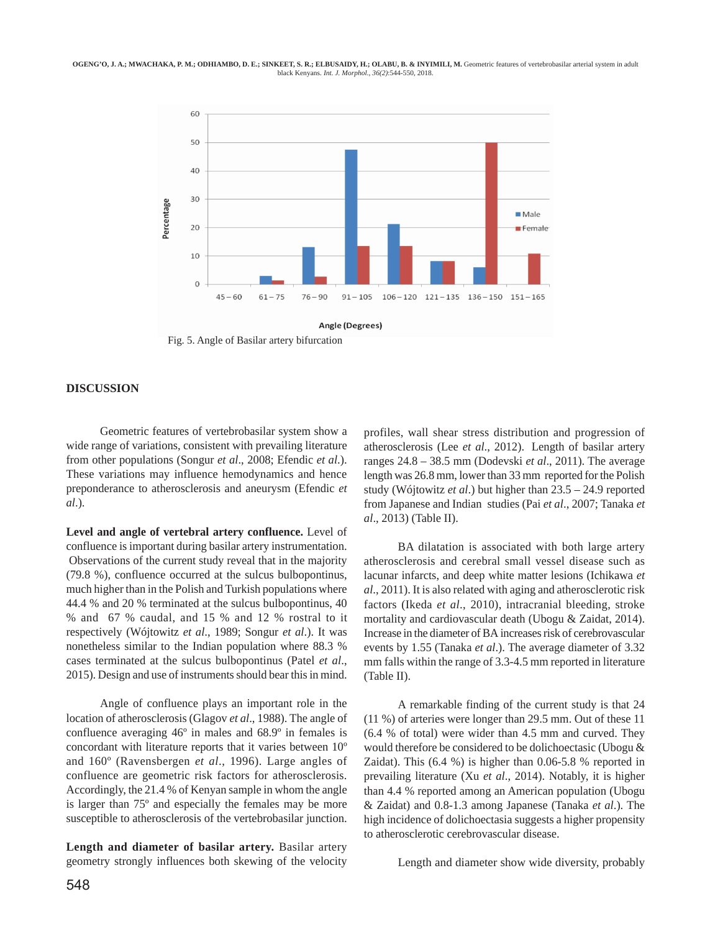#### **OGENG'O, J. A.; MWACHAKA, P. M.; ODHIAMBO, D. E.; SINKEET, S. R.; ELBUSAIDY, H.; OLABU, B. & INYIMILI, M.** Geometric features of vertebrobasilar arterial system in adult black Kenyans. *Int. J. Morphol., 36(2)*:544-550, 2018.



Fig. 5. Angle of Basilar artery bifurcation

#### **DISCUSSION**

Geometric features of vertebrobasilar system show a wide range of variations, consistent with prevailing literature from other populations (Songur *et al*., 2008; Efendic *et al*.). These variations may influence hemodynamics and hence preponderance to atherosclerosis and aneurysm (Efendic *et al*.).

**Level and angle of vertebral artery confluence.** Level of confluence is important during basilar artery instrumentation. Observations of the current study reveal that in the majority (79.8 %), confluence occurred at the sulcus bulbopontinus, much higher than in the Polish and Turkish populations where 44.4 % and 20 % terminated at the sulcus bulbopontinus, 40 % and 67 % caudal, and 15 % and 12 % rostral to it respectively (Wójtowitz *et al*., 1989; Songur *et al*.). It was nonetheless similar to the Indian population where 88.3 % cases terminated at the sulcus bulbopontinus (Patel *et al*., 2015). Design and use of instruments should bear this in mind.

Angle of confluence plays an important role in the location of atherosclerosis (Glagov *et al*., 1988). The angle of confluence averaging 46º in males and 68.9º in females is concordant with literature reports that it varies between 10º and 160º (Ravensbergen *et al*., 1996). Large angles of confluence are geometric risk factors for atherosclerosis. Accordingly, the 21.4 % of Kenyan sample in whom the angle is larger than 75º and especially the females may be more susceptible to atherosclerosis of the vertebrobasilar junction.

**Length and diameter of basilar artery.** Basilar artery geometry strongly influences both skewing of the velocity

548

profiles, wall shear stress distribution and progression of atherosclerosis (Lee *et al*., 2012). Length of basilar artery ranges 24.8 – 38.5 mm (Dodevski *et al*., 2011). The average length was 26.8 mm, lower than 33 mm reported for the Polish study (Wójtowitz *et al*.) but higher than 23.5 – 24.9 reported from Japanese and Indian studies (Pai *et al*., 2007; Tanaka *et al*., 2013) (Table II).

BA dilatation is associated with both large artery atherosclerosis and cerebral small vessel disease such as lacunar infarcts, and deep white matter lesions (Ichikawa *et al*., 2011). It is also related with aging and atherosclerotic risk factors (Ikeda *et al*., 2010), intracranial bleeding, stroke mortality and cardiovascular death (Ubogu & Zaidat, 2014). Increase in the diameter of BA increases risk of cerebrovascular events by 1.55 (Tanaka *et al*.). The average diameter of 3.32 mm falls within the range of 3.3-4.5 mm reported in literature (Table II).

A remarkable finding of the current study is that 24 (11 %) of arteries were longer than 29.5 mm. Out of these 11 (6.4 % of total) were wider than 4.5 mm and curved. They would therefore be considered to be dolichoectasic (Ubogu & Zaidat). This (6.4 %) is higher than 0.06-5.8 % reported in prevailing literature (Xu *et al*., 2014). Notably, it is higher than 4.4 % reported among an American population (Ubogu & Zaidat) and 0.8-1.3 among Japanese (Tanaka *et al*.). The high incidence of dolichoectasia suggests a higher propensity to atherosclerotic cerebrovascular disease.

Length and diameter show wide diversity, probably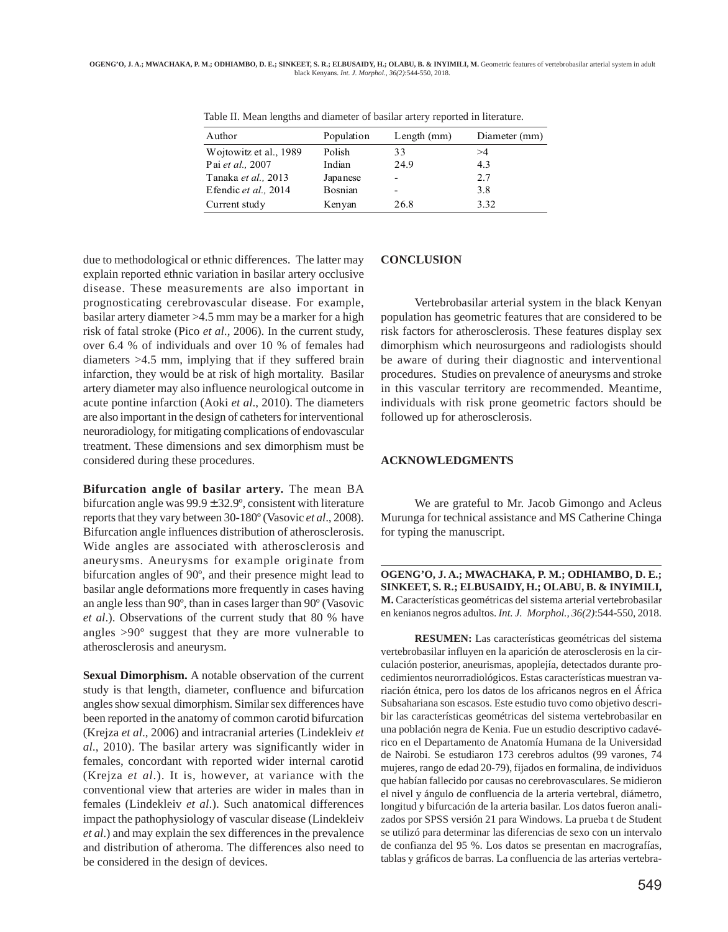| Author                 | Population | Length $(mm)$ | Diameter (mm) |
|------------------------|------------|---------------|---------------|
| Wojtowitz et al., 1989 | Polish     | 33            | >4            |
| Pai et al., 2007       | Indian     | 24.9          | 4.3           |
| Tanaka et al., 2013    | Japanese   |               | 2.7           |
| Efendic et al., 2014   | Bosnian    |               | 3.8           |
| Current study          | Kenyan     | 26.8          | 3.32          |

Table II. Mean lengths and diameter of basilar artery reported in literature.

due to methodological or ethnic differences. The latter may explain reported ethnic variation in basilar artery occlusive disease. These measurements are also important in prognosticating cerebrovascular disease. For example, basilar artery diameter >4.5 mm may be a marker for a high risk of fatal stroke (Pico *et al*., 2006). In the current study, over 6.4 % of individuals and over 10 % of females had diameters >4.5 mm, implying that if they suffered brain infarction, they would be at risk of high mortality. Basilar artery diameter may also influence neurological outcome in acute pontine infarction (Aoki *et al*., 2010). The diameters are also important in the design of catheters for interventional neuroradiology, for mitigating complications of endovascular treatment. These dimensions and sex dimorphism must be considered during these procedures.

**Bifurcation angle of basilar artery.** The mean BA bifurcation angle was  $99.9 \pm 32.9^{\circ}$ , consistent with literature reports that they vary between 30-180º (Vasovic *et al*., 2008). Bifurcation angle influences distribution of atherosclerosis. Wide angles are associated with atherosclerosis and aneurysms. Aneurysms for example originate from bifurcation angles of 90º, and their presence might lead to basilar angle deformations more frequently in cases having an angle less than 90º, than in cases larger than 90º (Vasovic *et al*.). Observations of the current study that 80 % have angles >90º suggest that they are more vulnerable to atherosclerosis and aneurysm.

**Sexual Dimorphism.** A notable observation of the current study is that length, diameter, confluence and bifurcation angles show sexual dimorphism. Similar sex differences have been reported in the anatomy of common carotid bifurcation (Krejza *et al*., 2006) and intracranial arteries (Lindekleiv *et al*., 2010). The basilar artery was significantly wider in females, concordant with reported wider internal carotid (Krejza *et al*.). It is, however, at variance with the conventional view that arteries are wider in males than in females (Lindekleiv *et al*.). Such anatomical differences impact the pathophysiology of vascular disease (Lindekleiv *et al*.) and may explain the sex differences in the prevalence and distribution of atheroma. The differences also need to be considered in the design of devices.

#### **CONCLUSION**

Vertebrobasilar arterial system in the black Kenyan population has geometric features that are considered to be risk factors for atherosclerosis. These features display sex dimorphism which neurosurgeons and radiologists should be aware of during their diagnostic and interventional procedures. Studies on prevalence of aneurysms and stroke in this vascular territory are recommended. Meantime, individuals with risk prone geometric factors should be followed up for atherosclerosis.

### **ACKNOWLEDGMENTS**

We are grateful to Mr. Jacob Gimongo and Acleus Murunga for technical assistance and MS Catherine Chinga for typing the manuscript.

**OGENG'O, J. A.; MWACHAKA, P. M.; ODHIAMBO, D. E.; SINKEET, S. R.; ELBUSAIDY, H.; OLABU, B. & INYIMILI, M.** Características geométricas del sistema arterial vertebrobasilar en kenianos negros adultos. *Int. J. Morphol., 36(2)*:544-550, 2018.

**RESUMEN:** Las características geométricas del sistema vertebrobasilar influyen en la aparición de aterosclerosis en la circulación posterior, aneurismas, apoplejía, detectados durante procedimientos neurorradiológicos. Estas características muestran variación étnica, pero los datos de los africanos negros en el África Subsahariana son escasos. Este estudio tuvo como objetivo describir las características geométricas del sistema vertebrobasilar en una población negra de Kenia. Fue un estudio descriptivo cadavérico en el Departamento de Anatomía Humana de la Universidad de Nairobi. Se estudiaron 173 cerebros adultos (99 varones, 74 mujeres, rango de edad 20-79), fijados en formalina, de individuos que habían fallecido por causas no cerebrovasculares. Se midieron el nivel y ángulo de confluencia de la arteria vertebral, diámetro, longitud y bifurcación de la arteria basilar. Los datos fueron analizados por SPSS versión 21 para Windows. La prueba t de Student se utilizó para determinar las diferencias de sexo con un intervalo de confianza del 95 %. Los datos se presentan en macrografías, tablas y gráficos de barras. La confluencia de las arterias vertebra